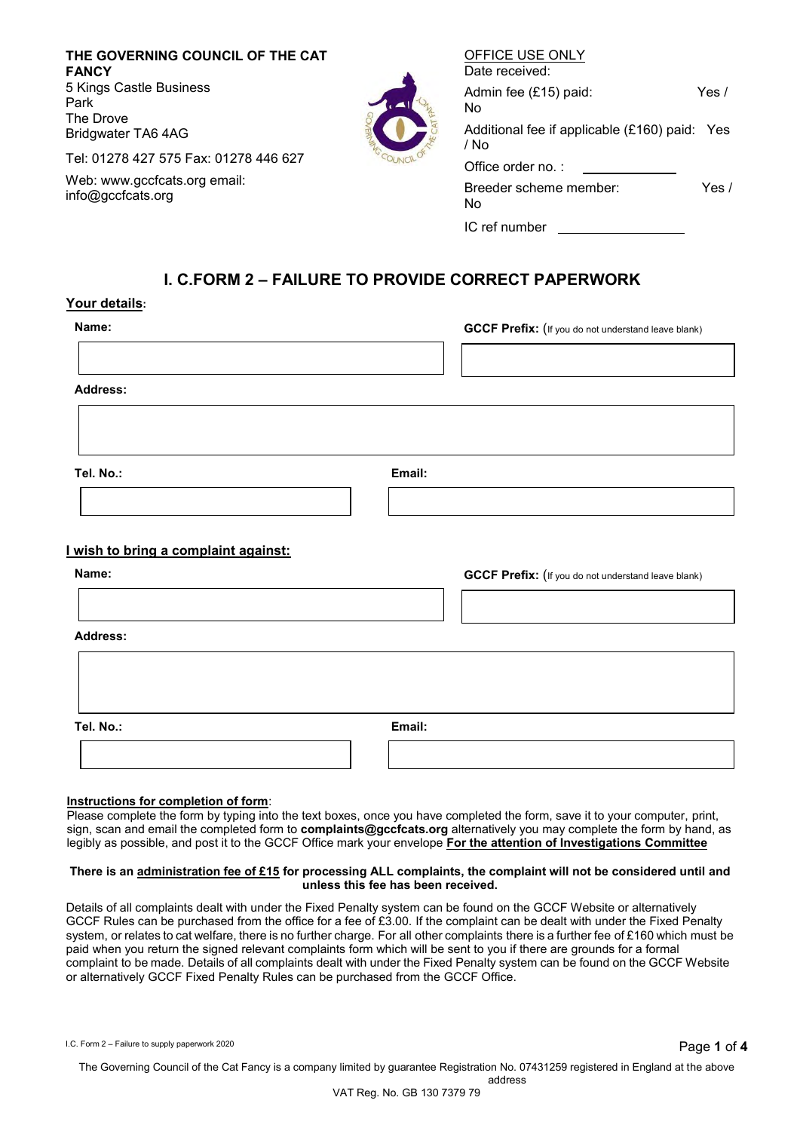**THE GOVERNING COUNCIL OF THE CAT FANCY** 5 Kings Castle Business Park The Drove Bridgwater TA6 4AG

Tel: 01278 427 575 Fax: 01278 446 627

Web: [www.gccfcats.org e](http://www.gccfcats.org/)mail: [info@gccfcats.org](mailto:info@gccfcats.org)

| Date received:                                        |         |
|-------------------------------------------------------|---------|
| Admin fee (£15) paid:<br>No                           | Yes $/$ |
| Additional fee if applicable (£160) paid: Yes<br>/ No |         |
| Office order no.:                                     |         |
| Breeder scheme member:<br>No                          | Yes /   |
| IC ref number                                         |         |

OFFICE USE ONLY

## **I. C.FORM 2 – FAILURE TO PROVIDE CORRECT PAPERWORK**

## **Your details:**

**GCCF Prefix:** (If you do not understand leave blank)

**Address:**

**Tel. No.: Email:**

## **I wish to bring a complaint against:**

| Name:           |        | <b>GCCF Prefix:</b> (If you do not understand leave blank) |
|-----------------|--------|------------------------------------------------------------|
| <b>Address:</b> |        |                                                            |
|                 |        |                                                            |
| Tel. No.:       | Email: |                                                            |
|                 |        |                                                            |

#### **Instructions for completion of form**:

Please complete the form by typing into the text boxes, once you have completed the form, save it to your computer, print, sign, scan and email the completed form to **complaints@gccfcats.org** alternatively you may complete the form by hand, as legibly as possible, and post it to the GCCF Office mark your envelope **For the attention of Investigations Committee**

#### **There is an administration fee of £15 for processing ALL complaints, the complaint will not be considered until and unless this fee has been received.**

Details of all complaints dealt with under the Fixed Penalty system can be found on the GCCF Website or alternatively GCCF Rules can be purchased from the office for a fee of £3.00. If the complaint can be dealt with under the Fixed Penalty system, or relates to cat welfare, there is no further charge. For all other complaints there is a further fee of £160 which must be paid when you return the signed relevant complaints form which will be sent to you if there are grounds for a formal complaint to be made. Details of all complaints dealt with under the Fixed Penalty system can be found on the GCCF Website or alternatively GCCF Fixed Penalty Rules can be purchased from the GCCF Office.

I.C. Form 2 – Failure to supply paperwork 2020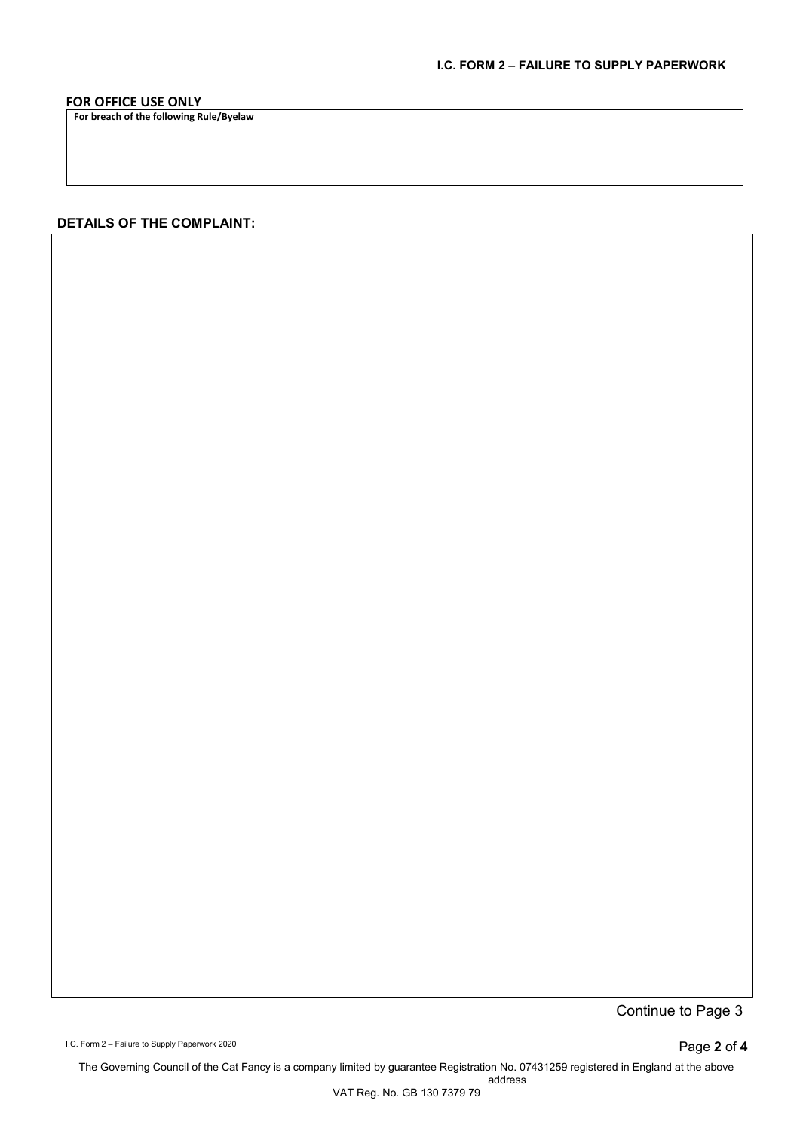## **FOR OFFICE USE ONLY**

**For breach of the following Rule/Byelaw**

## **DETAILS OF THE COMPLAINT:**

Continue to Page 3

I.C. Form 2 – Failure to Supply Paperwork 2020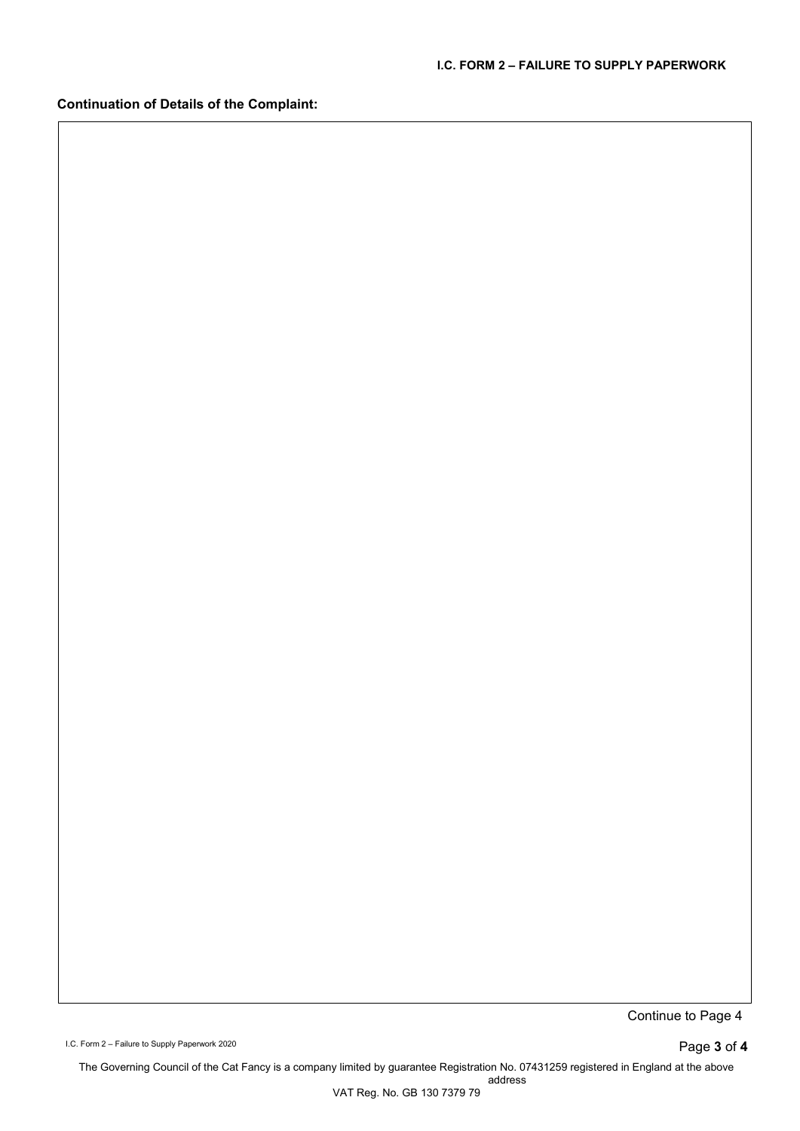**Continuation of Details of the Complaint:**

Continue to Page 4

I.C. Form 2 – Failure to Supply Paperwork 2020